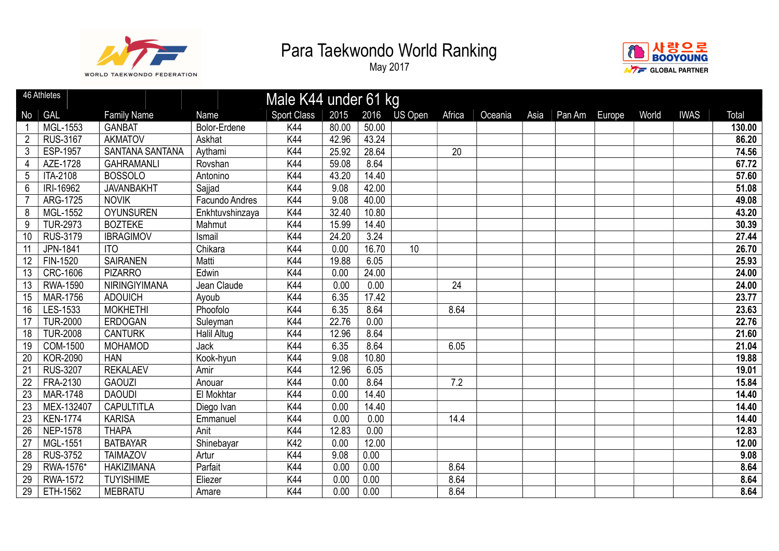



|                 | 46 Athletes     |                        |                    | Male K44 under 61 kg |       |       |         |        |         |      |        |        |       |             |                   |
|-----------------|-----------------|------------------------|--------------------|----------------------|-------|-------|---------|--------|---------|------|--------|--------|-------|-------------|-------------------|
| No              | GAL             | <b>Family Name</b>     | Name               | <b>Sport Class</b>   | 2015  | 2016  | US Open | Africa | Oceania | Asia | Pan Am | Europe | World | <b>IWAS</b> | Total             |
|                 | MGL-1553        | <b>GANBAT</b>          | Bolor-Erdene       | K44                  | 80.00 | 50.00 |         |        |         |      |        |        |       |             | 130.00            |
| $\overline{2}$  | <b>RUS-3167</b> | <b>AKMATOV</b>         | Askhat             | <b>K44</b>           | 42.96 | 43.24 |         |        |         |      |        |        |       |             | 86.20             |
| 3               | <b>ESP-1957</b> | <b>SANTANA SANTANA</b> | Aythami            | K44                  | 25.92 | 28.64 |         | 20     |         |      |        |        |       |             | 74.56             |
| 4               | AZE-1728        | <b>GAHRAMANLI</b>      | Rovshan            | K44                  | 59.08 | 8.64  |         |        |         |      |        |        |       |             | 67.72             |
| 5               | ITA-2108        | <b>BOSSOLO</b>         | Antonino           | K44                  | 43.20 | 14.40 |         |        |         |      |        |        |       |             | 57.60             |
| 6               | IRI-16962       | <b>JAVANBAKHT</b>      | Sajjad             | K44                  | 9.08  | 42.00 |         |        |         |      |        |        |       |             | $\frac{1}{51.08}$ |
|                 | ARG-1725        | <b>NOVIK</b>           | Facundo Andres     | K44                  | 9.08  | 40.00 |         |        |         |      |        |        |       |             | 49.08             |
| 8               | MGL-1552        | <b>OYUNSUREN</b>       | Enkhtuvshinzaya    | <b>K44</b>           | 32.40 | 10.80 |         |        |         |      |        |        |       |             | 43.20             |
| 9               | <b>TUR-2973</b> | <b>BOZTEKE</b>         | Mahmut             | K44                  | 15.99 | 14.40 |         |        |         |      |        |        |       |             | 30.39             |
| 10              | RUS-3179        | <b>IBRAGIMOV</b>       | Ismail             | K44                  | 24.20 | 3.24  |         |        |         |      |        |        |       |             | 27.44             |
| 11              | JPN-1841        | <b>ITO</b>             | Chikara            | K44                  | 0.00  | 16.70 | 10      |        |         |      |        |        |       |             | 26.70             |
| 12              | FIN-1520        | <b>SAIRANEN</b>        | Matti              | K44                  | 19.88 | 6.05  |         |        |         |      |        |        |       |             | 25.93             |
| 13              | <b>CRC-1606</b> | <b>PIZARRO</b>         | Edwin              | K44                  | 0.00  | 24.00 |         |        |         |      |        |        |       |             | 24.00             |
| 13              | <b>RWA-1590</b> | NIRINGIYIMANA          | Jean Claude        | K44                  | 0.00  | 0.00  |         | 24     |         |      |        |        |       |             | 24.00             |
| 15              | MAR-1756        | <b>ADOUICH</b>         | Ayoub              | K44                  | 6.35  | 17.42 |         |        |         |      |        |        |       |             | 23.77             |
| 16              | LES-1533        | <b>MOKHETHI</b>        | Phoofolo           | K44                  | 6.35  | 8.64  |         | 8.64   |         |      |        |        |       |             | 23.63             |
| 17              | <b>TUR-2000</b> | <b>ERDOGAN</b>         | Suleyman           | <b>K44</b>           | 22.76 | 0.00  |         |        |         |      |        |        |       |             | 22.76             |
| 18              | <b>TUR-2008</b> | <b>CANTURK</b>         | <b>Halil Altug</b> | K44                  | 12.96 | 8.64  |         |        |         |      |        |        |       |             | 21.60             |
| 19              | <b>COM-1500</b> | <b>MOHAMOD</b>         | Jack               | K44                  | 6.35  | 8.64  |         | 6.05   |         |      |        |        |       |             | 21.04             |
| $20\,$          | <b>KOR-2090</b> | <b>HAN</b>             | Kook-hyun          | K44                  | 9.08  | 10.80 |         |        |         |      |        |        |       |             | 19.88             |
| 21              | <b>RUS-3207</b> | <b>REKALAEV</b>        | Amir               | K44                  | 12.96 | 6.05  |         |        |         |      |        |        |       |             | 19.01             |
| 22              | FRA-2130        | <b>GAOUZI</b>          | Anouar             | K44                  | 0.00  | 8.64  |         | 7.2    |         |      |        |        |       |             | 15.84             |
| $\overline{23}$ | <b>MAR-1748</b> | <b>DAOUDI</b>          | El Mokhtar         | K44                  | 0.00  | 14.40 |         |        |         |      |        |        |       |             | 14.40             |
| 23              | MEX-132407      | <b>CAPULTITLA</b>      | Diego Ivan         | K44                  | 0.00  | 14.40 |         |        |         |      |        |        |       |             | 14.40             |
| $\overline{23}$ | <b>KEN-1774</b> | <b>KARISA</b>          | Emmanuel           | K44                  | 0.00  | 0.00  |         | 14.4   |         |      |        |        |       |             | 14.40             |
| 26              | <b>NEP-1578</b> | <b>THAPA</b>           | Anit               | K44                  | 12.83 | 0.00  |         |        |         |      |        |        |       |             | 12.83             |
| $\overline{27}$ | MGL-1551        | <b>BATBAYAR</b>        | Shinebayar         | K42                  | 0.00  | 12.00 |         |        |         |      |        |        |       |             | 12.00             |
| $\overline{28}$ | <b>RUS-3752</b> | <b>TAIMAZOV</b>        | Artur              | K44                  | 9.08  | 0.00  |         |        |         |      |        |        |       |             | 9.08              |
| 29              | RWA-1576*       | <b>HAKIZIMANA</b>      | Parfait            | K44                  | 0.00  | 0.00  |         | 8.64   |         |      |        |        |       |             | 8.64              |
| 29              | <b>RWA-1572</b> | <b>TUYISHIME</b>       | Eliezer            | K44                  | 0.00  | 0.00  |         | 8.64   |         |      |        |        |       |             | 8.64              |
| 29              | ETH-1562        | <b>MEBRATU</b>         | Amare              | K44                  | 0.00  | 0.00  |         | 8.64   |         |      |        |        |       |             | 8.64              |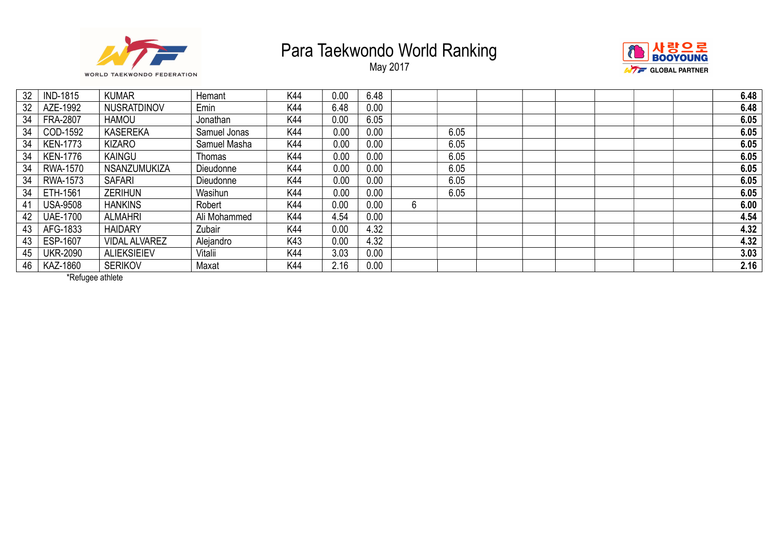

May 2017



| 32 | <b>IND-1815</b> | <b>KUMAR</b>         | Hemant       | K44 | 0.00 | 6.48 |   |      |  | 6.48 |
|----|-----------------|----------------------|--------------|-----|------|------|---|------|--|------|
| 32 | AZE-1992        | NUSRATDINOV          | Emin         | K44 | 6.48 | 0.00 |   |      |  | 6.48 |
| 34 | <b>FRA-2807</b> | <b>HAMOU</b>         | Jonathan     | K44 | 0.00 | 6.05 |   |      |  | 6.05 |
| 34 | COD-1592        | <b>KASEREKA</b>      | Samuel Jonas | K44 | 0.00 | 0.00 |   | 6.05 |  | 6.05 |
| 34 | <b>KEN-1773</b> | <b>KIZARO</b>        | Samuel Masha | K44 | 0.00 | 0.00 |   | 6.05 |  | 6.05 |
| 34 | <b>KEN-1776</b> | <b>KAINGU</b>        | Thomas       | K44 | 0.00 | 0.00 |   | 6.05 |  | 6.05 |
| 34 | RWA-1570        | <b>NSANZUMUKIZA</b>  | Dieudonne    | K44 | 0.00 | 0.00 |   | 6.05 |  | 6.05 |
| 34 | RWA-1573        | <b>SAFARI</b>        | Dieudonne    | K44 | 0.00 | 0.00 |   | 6.05 |  | 6.05 |
| 34 | ETH-1561        | <b>ZERIHUN</b>       | Wasihun      | K44 | 0.00 | 0.00 |   | 6.05 |  | 6.05 |
| 41 | <b>USA-9508</b> | <b>HANKINS</b>       | Robert       | K44 | 0.00 | 0.00 | 6 |      |  | 6.00 |
| 42 | <b>UAE-1700</b> | <b>ALMAHRI</b>       | Ali Mohammed | K44 | 4.54 | 0.00 |   |      |  | 4.54 |
| 43 | AFG-1833        | <b>HAIDARY</b>       | Zubair       | K44 | 0.00 | 4.32 |   |      |  | 4.32 |
| 43 | ESP-1607        | <b>VIDAL ALVAREZ</b> | Alejandro    | K43 | 0.00 | 4.32 |   |      |  | 4.32 |
| 45 | <b>UKR-2090</b> | <b>ALIEKSIEIEV</b>   | Vitalii      | K44 | 3.03 | 0.00 |   |      |  | 3.03 |
| 46 | KAZ-1860        | <b>SERIKOV</b>       | Maxat        | K44 | 2.16 | 0.00 |   |      |  | 2.16 |

\*Refugee athlete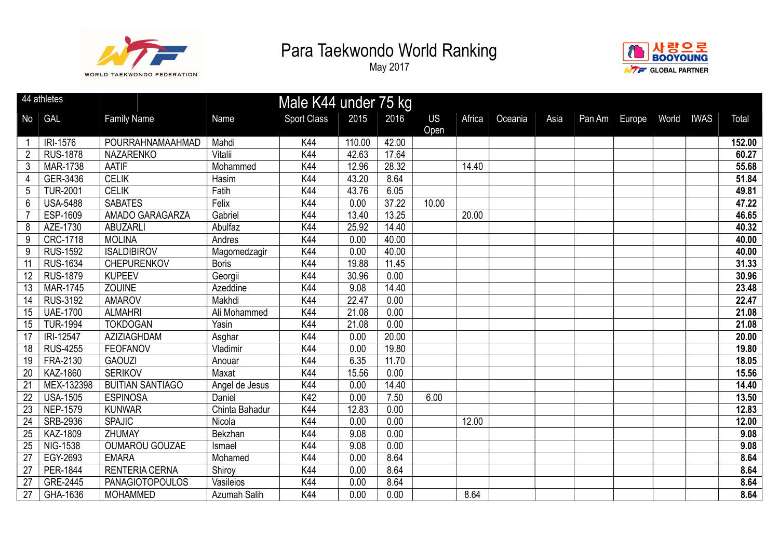



|                 | 44 athletes     |                         |                | Male K44 under 75 kg |        |       |                   |        |         |      |               |       |             |        |
|-----------------|-----------------|-------------------------|----------------|----------------------|--------|-------|-------------------|--------|---------|------|---------------|-------|-------------|--------|
| No              | <b>GAL</b>      | <b>Family Name</b>      | Name           | <b>Sport Class</b>   | 2015   | 2016  | <b>US</b><br>Open | Africa | Oceania | Asia | Pan Am Europe | World | <b>IWAS</b> | Total  |
|                 | IRI-1576        | POURRAHNAMAAHMAD        | Mahdi          | K44                  | 110.00 | 42.00 |                   |        |         |      |               |       |             | 152.00 |
| $\overline{2}$  | <b>RUS-1878</b> | <b>NAZARENKO</b>        | Vitalii        | K44                  | 42.63  | 17.64 |                   |        |         |      |               |       |             | 60.27  |
| $\mathbf{3}$    | <b>MAR-1738</b> | <b>AATIF</b>            | Mohammed       | K44                  | 12.96  | 28.32 |                   | 14.40  |         |      |               |       |             | 55.68  |
| 4               | GER-3436        | <b>CELIK</b>            | Hasim          | K44                  | 43.20  | 8.64  |                   |        |         |      |               |       |             | 51.84  |
| 5               | <b>TUR-2001</b> | <b>CELIK</b>            | Fatih          | K44                  | 43.76  | 6.05  |                   |        |         |      |               |       |             | 49.81  |
| 6               | <b>USA-5488</b> | <b>SABATES</b>          | Felix          | K44                  | 0.00   | 37.22 | 10.00             |        |         |      |               |       |             | 47.22  |
|                 | ESP-1609        | AMADO GARAGARZA         | Gabriel        | K44                  | 13.40  | 13.25 |                   | 20.00  |         |      |               |       |             | 46.65  |
| 8               | AZE-1730        | <b>ABUZARLI</b>         | Abulfaz        | K44                  | 25.92  | 14.40 |                   |        |         |      |               |       |             | 40.32  |
| 9               | <b>CRC-1718</b> | <b>MOLINA</b>           | Andres         | K44                  | 0.00   | 40.00 |                   |        |         |      |               |       |             | 40.00  |
| $9\,$           | <b>RUS-1592</b> | <b>ISALDIBIROV</b>      | Magomedzagir   | K44                  | 0.00   | 40.00 |                   |        |         |      |               |       |             | 40.00  |
| $\overline{11}$ | <b>RUS-1634</b> | CHEPURENKOV             | <b>Boris</b>   | K44                  | 19.88  | 11.45 |                   |        |         |      |               |       |             | 31.33  |
| 12              | <b>RUS-1879</b> | <b>KUPEEV</b>           | Georgii        | K44                  | 30.96  | 0.00  |                   |        |         |      |               |       |             | 30.96  |
| 13              | <b>MAR-1745</b> | <b>ZOUINE</b>           | Azeddine       | K44                  | 9.08   | 14.40 |                   |        |         |      |               |       |             | 23.48  |
| 14              | RUS-3192        | <b>AMAROV</b>           | Makhdi         | K44                  | 22.47  | 0.00  |                   |        |         |      |               |       |             | 22.47  |
| 15              | <b>UAE-1700</b> | <b>ALMAHRI</b>          | Ali Mohammed   | K44                  | 21.08  | 0.00  |                   |        |         |      |               |       |             | 21.08  |
| 15              | <b>TUR-1994</b> | <b>TOKDOGAN</b>         | Yasin          | K44                  | 21.08  | 0.00  |                   |        |         |      |               |       |             | 21.08  |
| $\overline{17}$ | IRI-12547       | AZIZIAGHDAM             | Asghar         | K44                  | 0.00   | 20.00 |                   |        |         |      |               |       |             | 20.00  |
| 18              | <b>RUS-4255</b> | <b>FEOFANOV</b>         | Vladimir       | K44                  | 0.00   | 19.80 |                   |        |         |      |               |       |             | 19.80  |
| 19              | FRA-2130        | <b>GAOUZI</b>           | Anouar         | K44                  | 6.35   | 11.70 |                   |        |         |      |               |       |             | 18.05  |
| 20              | KAZ-1860        | <b>SERIKOV</b>          | Maxat          | K44                  | 15.56  | 0.00  |                   |        |         |      |               |       |             | 15.56  |
| 21              | MEX-132398      | <b>BUITIAN SANTIAGO</b> | Angel de Jesus | K44                  | 0.00   | 14.40 |                   |        |         |      |               |       |             | 14.40  |
| $\overline{22}$ | <b>USA-1505</b> | <b>ESPINOSA</b>         | Daniel         | K42                  | 0.00   | 7.50  | 6.00              |        |         |      |               |       |             | 13.50  |
| 23              | <b>NEP-1579</b> | <b>KUNWAR</b>           | Chinta Bahadur | K44                  | 12.83  | 0.00  |                   |        |         |      |               |       |             | 12.83  |
| $\overline{24}$ | <b>SRB-2936</b> | <b>SPAJIC</b>           | Nicola         | K44                  | 0.00   | 0.00  |                   | 12.00  |         |      |               |       |             | 12.00  |
| 25              | KAZ-1809        | ZHUMAY                  | Bekzhan        | K44                  | 9.08   | 0.00  |                   |        |         |      |               |       |             | 9.08   |
| 25              | NIG-1538        | <b>OUMAROU GOUZAE</b>   | Ismael         | K44                  | 9.08   | 0.00  |                   |        |         |      |               |       |             | 9.08   |
| $\overline{27}$ | EGY-2693        | <b>EMARA</b>            | Mohamed        | K44                  | 0.00   | 8.64  |                   |        |         |      |               |       |             | 8.64   |
| $\overline{27}$ | PER-1844        | <b>RENTERIA CERNA</b>   | Shiroy         | K44                  | 0.00   | 8.64  |                   |        |         |      |               |       |             | 8.64   |
| 27              | GRE-2445        | <b>PANAGIOTOPOULOS</b>  | Vasileios      | K44                  | 0.00   | 8.64  |                   |        |         |      |               |       |             | 8.64   |
| 27              | GHA-1636        | <b>MOHAMMED</b>         | Azumah Salih   | K44                  | 0.00   | 0.00  |                   | 8.64   |         |      |               |       |             | 8.64   |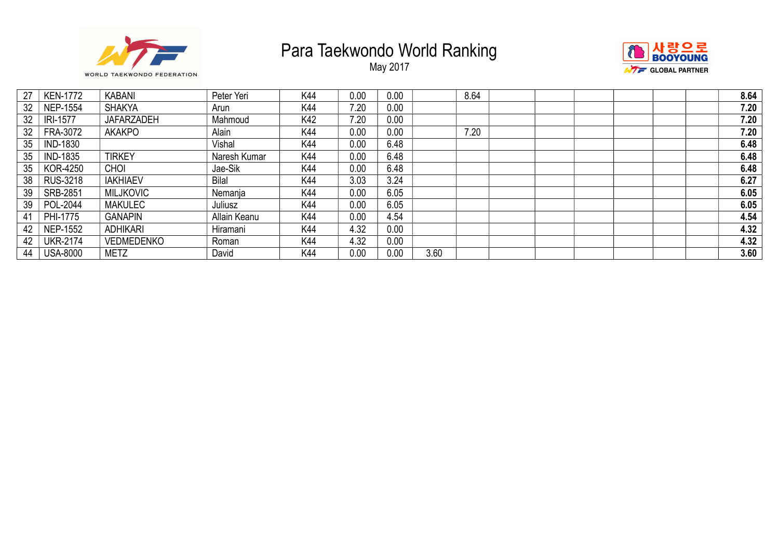





| 27 | <b>KEN-1772</b> | <b>KABANI</b>     | Peter Yeri   | K44 | 0.00 | 0.00 |      | 8.64 |  |  | 8.64 |
|----|-----------------|-------------------|--------------|-----|------|------|------|------|--|--|------|
| 32 | <b>NEP-1554</b> | <b>SHAKYA</b>     | Arun         | K44 | 7.20 | 0.00 |      |      |  |  | 7.20 |
| 32 | IRI-1577        | <b>JAFARZADEH</b> | Mahmoud      | K42 | 7.20 | 0.00 |      |      |  |  | 7.20 |
| 32 | FRA-3072        | <b>AKAKPO</b>     | Alain        | K44 | 0.00 | 0.00 |      | 7.20 |  |  | 7.20 |
| 35 | <b>IND-1830</b> |                   | Vishal       | K44 | 0.00 | 6.48 |      |      |  |  | 6.48 |
| 35 | <b>IND-1835</b> | <b>TIRKEY</b>     | Naresh Kumar | K44 | 0.00 | 6.48 |      |      |  |  | 6.48 |
| 35 | KOR-4250        | <b>CHOI</b>       | Jae-Sik      | K44 | 0.00 | 6.48 |      |      |  |  | 6.48 |
| 38 | <b>RUS-3218</b> | <b>IAKHIAEV</b>   | <b>Bilal</b> | K44 | 3.03 | 3.24 |      |      |  |  | 6.27 |
| 39 | SRB-2851        | <b>MILJKOVIC</b>  | Nemanja      | K44 | 0.00 | 6.05 |      |      |  |  | 6.05 |
| 39 | POL-2044        | <b>MAKULEC</b>    | Juliusz      | K44 | 0.00 | 6.05 |      |      |  |  | 6.05 |
| 41 | PHI-1775        | <b>GANAPIN</b>    | Allain Keanu | K44 | 0.00 | 4.54 |      |      |  |  | 4.54 |
| 42 | <b>NEP-1552</b> | <b>ADHIKARI</b>   | Hiramani     | K44 | 4.32 | 0.00 |      |      |  |  | 4.32 |
| 42 | <b>UKR-2174</b> | <b>VEDMEDENKO</b> | Roman        | K44 | 4.32 | 0.00 |      |      |  |  | 4.32 |
| 44 | <b>USA-8000</b> | <b>METZ</b>       | David        | K44 | 0.00 | 0.00 | 3.60 |      |  |  | 3.60 |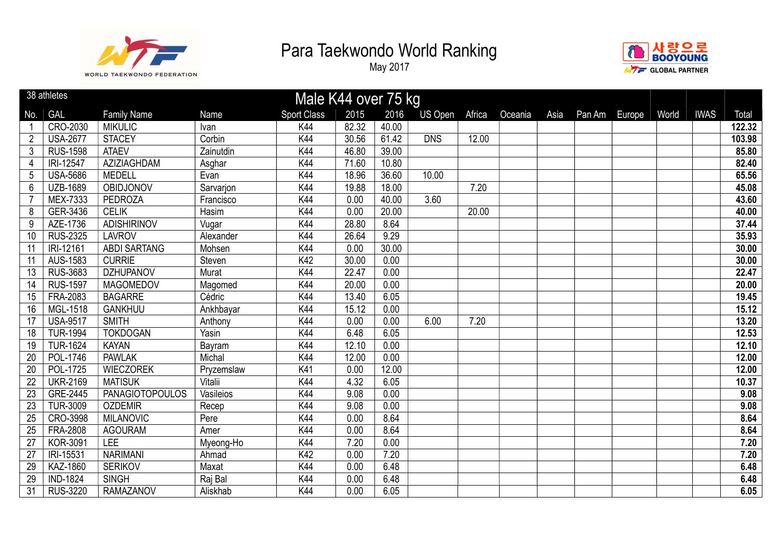



|                 | 38 athletes     |                        |             | Male K44 over 75 kg |       |       |            |        |         |      |        |        |       |             |        |
|-----------------|-----------------|------------------------|-------------|---------------------|-------|-------|------------|--------|---------|------|--------|--------|-------|-------------|--------|
| No.             | <b>GAL</b>      | <b>Family Name</b>     | <b>Name</b> | <b>Sport Class</b>  | 2015  | 2016  | US Open    | Africa | Oceania | Asia | Pan Am | Europe | World | <b>IWAS</b> | Total  |
|                 | CRO-2030        | <b>MIKULIC</b>         | Ivan        | K44                 | 82.32 | 40.00 |            |        |         |      |        |        |       |             | 122.32 |
| $\overline{2}$  | <b>USA-2677</b> | <b>STACEY</b>          | Corbin      | K44                 | 30.56 | 61.42 | <b>DNS</b> | 12.00  |         |      |        |        |       |             | 103.98 |
| 3               | <b>RUS-1598</b> | <b>ATAEV</b>           | Zainutdin   | K44                 | 46.80 | 39.00 |            |        |         |      |        |        |       |             | 85.80  |
| 4               | IRI-12547       | AZIZIAGHDAM            | Asghar      | K44                 | 71.60 | 10.80 |            |        |         |      |        |        |       |             | 82.40  |
| 5               | <b>USA-5686</b> | <b>MEDELL</b>          | Evan        | K44                 | 18.96 | 36.60 | 10.00      |        |         |      |        |        |       |             | 65.56  |
| 6               | <b>UZB-1689</b> | OBIDJONOV              | Sarvarjon   | K44                 | 19.88 | 18.00 |            | 7.20   |         |      |        |        |       |             | 45.08  |
|                 | <b>MEX-7333</b> | PEDROZA                | Francisco   | K44                 | 0.00  | 40.00 | 3.60       |        |         |      |        |        |       |             | 43.60  |
| 8               | GER-3436        | <b>CELIK</b>           | Hasim       | K44                 | 0.00  | 20.00 |            | 20.00  |         |      |        |        |       |             | 40.00  |
| 9               | AZE-1736        | <b>ADISHIRINOV</b>     | Vugar       | K44                 | 28.80 | 8.64  |            |        |         |      |        |        |       |             | 37.44  |
| 10              | <b>RUS-2325</b> | <b>LAVROV</b>          | Alexander   | K44                 | 26.64 | 9.29  |            |        |         |      |        |        |       |             | 35.93  |
| 11              | IRI-12161       | <b>ABDI SARTANG</b>    | Mohsen      | K44                 | 0.00  | 30.00 |            |        |         |      |        |        |       |             | 30.00  |
| 11              | AUS-1583        | <b>CURRIE</b>          | Steven      | K42                 | 30.00 | 0.00  |            |        |         |      |        |        |       |             | 30.00  |
| 13              | <b>RUS-3683</b> | <b>DZHUPANOV</b>       | Murat       | K44                 | 22.47 | 0.00  |            |        |         |      |        |        |       |             | 22.47  |
| 14              | <b>RUS-1597</b> | <b>MAGOMEDOV</b>       | Magomed     | K44                 | 20.00 | 0.00  |            |        |         |      |        |        |       |             | 20.00  |
| 15              | FRA-2083        | <b>BAGARRE</b>         | Cédric      | K44                 | 13.40 | 6.05  |            |        |         |      |        |        |       |             | 19.45  |
| 16              | MGL-1518        | <b>GANKHUU</b>         | Ankhbayar   | K44                 | 15.12 | 0.00  |            |        |         |      |        |        |       |             | 15.12  |
| 17              | <b>USA-9517</b> | <b>SMITH</b>           | Anthony     | K44                 | 0.00  | 0.00  | 6.00       | 7.20   |         |      |        |        |       |             | 13.20  |
| 18              | <b>TUR-1994</b> | <b>TOKDOGAN</b>        | Yasin       | K44                 | 6.48  | 6.05  |            |        |         |      |        |        |       |             | 12.53  |
| 19              | <b>TUR-1624</b> | <b>KAYAN</b>           | Bayram      | K44                 | 12.10 | 0.00  |            |        |         |      |        |        |       |             | 12.10  |
| 20              | <b>POL-1746</b> | <b>PAWLAK</b>          | Michal      | K44                 | 12.00 | 0.00  |            |        |         |      |        |        |       |             | 12.00  |
| 20              | <b>POL-1725</b> | <b>WIECZOREK</b>       | Pryzemslaw  | K41                 | 0.00  | 12.00 |            |        |         |      |        |        |       |             | 12.00  |
| $\overline{22}$ | <b>UKR-2169</b> | <b>MATISUK</b>         | Vitalii     | K44                 | 4.32  | 6.05  |            |        |         |      |        |        |       |             | 10.37  |
| 23              | GRE-2445        | <b>PANAGIOTOPOULOS</b> | Vasileios   | K44                 | 9.08  | 0.00  |            |        |         |      |        |        |       |             | 9.08   |
| 23              | <b>TUR-3009</b> | <b>OZDEMIR</b>         | Recep       | K44                 | 9.08  | 0.00  |            |        |         |      |        |        |       |             | 9.08   |
| 25              | CRO-3998        | <b>MILANOVIC</b>       | Pere        | K44                 | 0.00  | 8.64  |            |        |         |      |        |        |       |             | 8.64   |
| 25              | <b>FRA-2808</b> | <b>AGOURAM</b>         | Amer        | K44                 | 0.00  | 8.64  |            |        |         |      |        |        |       |             | 8.64   |
| 27              | <b>KOR-3091</b> | <b>LEE</b>             | Myeong-Ho   | K44                 | 7.20  | 0.00  |            |        |         |      |        |        |       |             | 7.20   |
| 27              | IRI-15531       | <b>NARIMANI</b>        | Ahmad       | K42                 | 0.00  | 7.20  |            |        |         |      |        |        |       |             | 7.20   |
| 29              | KAZ-1860        | <b>SERIKOV</b>         | Maxat       | K44                 | 0.00  | 6.48  |            |        |         |      |        |        |       |             | 6.48   |
| 29              | <b>IND-1824</b> | <b>SINGH</b>           | Raj Bal     | K44                 | 0.00  | 6.48  |            |        |         |      |        |        |       |             | 6.48   |
| 31              | <b>RUS-3220</b> | <b>RAMAZANOV</b>       | Aliskhab    | K44                 | 0.00  | 6.05  |            |        |         |      |        |        |       |             | 6.05   |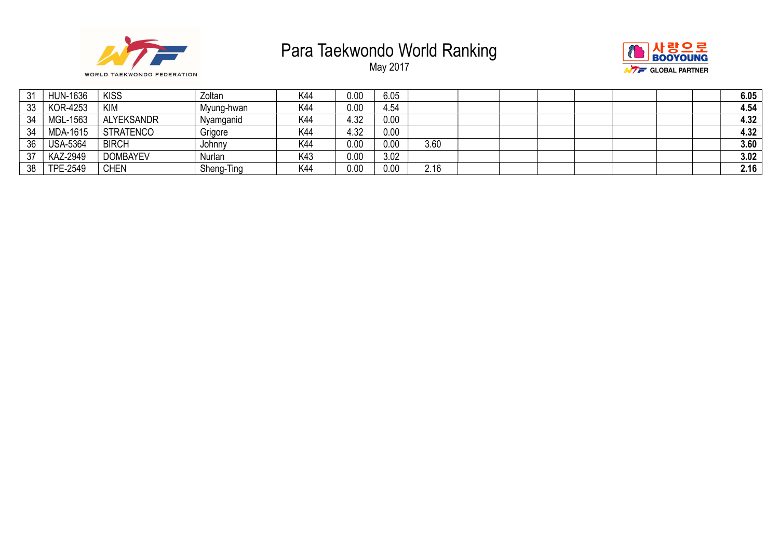





| 31 | <b>HUN-1636</b> | <b>KISS</b>       | Zoltan     | K44 | 0.00 | 6.05 |      |  |  |  | 6.05 |
|----|-----------------|-------------------|------------|-----|------|------|------|--|--|--|------|
| 33 | <b>KOR-4253</b> | <b>KIM</b>        | Myung-hwan | K44 | 0.00 | 4.54 |      |  |  |  | 4.54 |
| 34 | MGL-1563        | <b>ALYEKSANDR</b> | Nyamganid  | K44 | 4.32 | 0.00 |      |  |  |  | 4.32 |
| 34 | <b>MDA-1615</b> | STRATENCO         | Grigore    | K44 | 4.32 | 0.00 |      |  |  |  | 4.32 |
| 36 | <b>USA-5364</b> | <b>BIRCH</b>      | Johnny     | K44 | 0.00 | 0.00 | 3.60 |  |  |  | 3.60 |
| 37 | <b>KAZ-2949</b> | <b>DOMBAYEV</b>   | Nurlan     | K43 | 0.00 | 3.02 |      |  |  |  | 3.02 |
| 38 | <b>TPE-2549</b> | <b>CHEN</b>       | Sheng-Ting | K44 | 0.00 | 0.00 | 2.16 |  |  |  | 2.16 |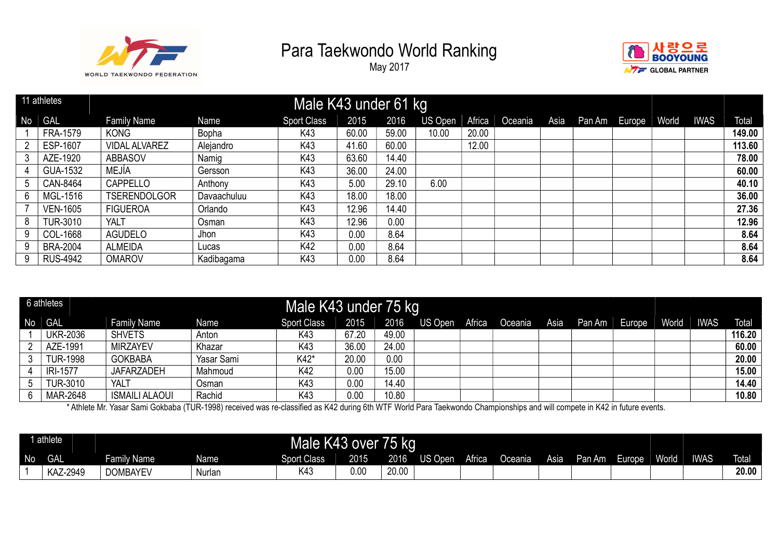

May 2017



|    | 11 athletes     |                      |              | Male K43 under 61 kg |       |       |         |        |         |      |                       |             |        |
|----|-----------------|----------------------|--------------|----------------------|-------|-------|---------|--------|---------|------|-----------------------|-------------|--------|
| No | <b>GAL</b>      | <b>Family Name</b>   | Name         | <b>Sport Class</b>   | 2015  | 2016  | US Open | Africa | Oceania | Asia | Pan Am   Europe World | <b>IWAS</b> | Total  |
|    | <b>FRA-1579</b> | <b>KONG</b>          | <b>Bopha</b> | K43                  | 60.00 | 59.00 | 10.00   | 20.00  |         |      |                       |             | 149.00 |
|    | ESP-1607        | <b>VIDAL ALVAREZ</b> | Alejandro    | K43                  | 41.60 | 60.00 |         | 12.00  |         |      |                       |             | 113.60 |
|    | AZE-1920        | <b>ABBASOV</b>       | Namig        | K43                  | 63.60 | 14.40 |         |        |         |      |                       |             | 78.00  |
|    | GUA-1532        | MEJÍA                | Gersson      | K43                  | 36.00 | 24.00 |         |        |         |      |                       |             | 60.00  |
| 5  | CAN-8464        | CAPPELLO             | Anthony      | K43                  | 5.00  | 29.10 | 6.00    |        |         |      |                       |             | 40.10  |
| 6  | MGL-1516        | <b>TSERENDOLGOR</b>  | Davaachuluu  | K43                  | 18.00 | 18.00 |         |        |         |      |                       |             | 36.00  |
|    | <b>VEN-1605</b> | <b>FIGUEROA</b>      | Orlando      | K43                  | 12.96 | 14.40 |         |        |         |      |                       |             | 27.36  |
|    | <b>TUR-3010</b> | <b>YALT</b>          | Osman        | K43                  | 12.96 | 0.00  |         |        |         |      |                       |             | 12.96  |
| 9. | COL-1668        | <b>AGUDELO</b>       | Jhon         | K43                  | 0.00  | 8.64  |         |        |         |      |                       |             | 8.64   |
| 9  | <b>BRA-2004</b> | <b>ALMEIDA</b>       | Lucas        | K42                  | 0.00  | 8.64  |         |        |         |      |                       |             | 8.64   |
|    | <b>RUS-4942</b> | <b>OMAROV</b>        | Kadibagama   | K43                  | 0.00  | 8.64  |         |        |         |      |                       |             | 8.64   |

|    | 6 athletes      |                       |            | Male K43 under 75 kg |       |       |         |        |         |      |               |       |             |        |
|----|-----------------|-----------------------|------------|----------------------|-------|-------|---------|--------|---------|------|---------------|-------|-------------|--------|
| No | <b>GAL</b>      | <b>Family Name</b>    | Name       | <b>Sport Class</b>   | 2015  | 2016  | US Open | Africa | Oceania | Asia | Pan Am Europe | World | <b>IWAS</b> | Total  |
|    | <b>UKR-2036</b> | <b>SHVETS</b>         | Anton      | K43                  | 67.20 | 49.00 |         |        |         |      |               |       |             | 116.20 |
|    | AZE-1991        | <b>MIRZAYEV</b>       | Khazar     | K43                  | 36.00 | 24.00 |         |        |         |      |               |       |             | 60.00  |
|    | <b>TUR-1998</b> | <b>GOKBABA</b>        | Yasar Sami | K42*                 | 20.00 | 0.00  |         |        |         |      |               |       |             | 20.00  |
|    | <b>IRI-1577</b> | <b>JAFARZADEH</b>     | Mahmoud    | K42                  | 0.00  | 15.00 |         |        |         |      |               |       |             | 15.00  |
|    | <b>TUR-3010</b> | <b>YALT</b>           | Osman      | K43                  | 0.00  | 14.40 |         |        |         |      |               |       |             | 14.40  |
|    | <b>MAR-2648</b> | <b>ISMAILI ALAOUI</b> | Rachid     | K43                  | 0.00  | 10.80 |         |        |         |      |               |       |             | 10.80  |

\* Athlete Mr. Yasar Sami Gokbaba (TUR-1998) received was re-classified as K42 during 6th WTF World Para Taekwondo Championships and will compete in K42 in future events.

|           | 1 athlete  |                          |                                                                                                                             | Male K43 over |      | 75 kg |  |  |  |  |  |        |       |             |              |
|-----------|------------|--------------------------|-----------------------------------------------------------------------------------------------------------------------------|---------------|------|-------|--|--|--|--|--|--------|-------|-------------|--------------|
| <b>No</b> | <b>GAL</b> | Family Name <sup>1</sup> | 2015<br>Africa<br>2016<br>Oceania<br><b>Sport Class</b><br>$\overline{\mathsf{US} \mathsf{Open}}$<br>Asia<br>Pan Am<br>Name |               |      |       |  |  |  |  |  | Europe | World | <b>IWAS</b> | <b>Total</b> |
|           | KAZ-2949   | <b>DOMBAYEV</b>          | Nurlan                                                                                                                      | K4:           | 0.00 | 20.00 |  |  |  |  |  |        |       |             | 20.00        |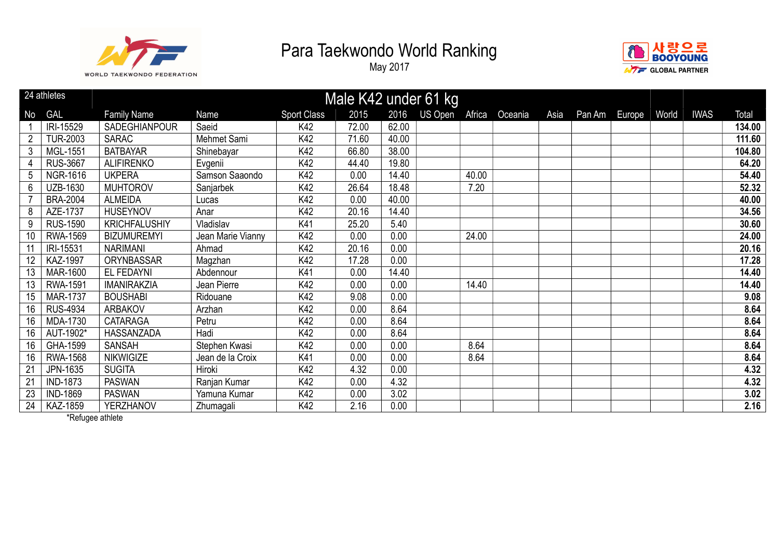

May 2017



|    | 24 athletes<br>Male K42 under 61 kg |                      |                   |                    |       |                 |        |         |      |        |        |       |             |        |
|----|-------------------------------------|----------------------|-------------------|--------------------|-------|-----------------|--------|---------|------|--------|--------|-------|-------------|--------|
| No | <b>GAL</b>                          | <b>Family Name</b>   | Name              | <b>Sport Class</b> | 2015  | US Open<br>2016 | Africa | Oceania | Asia | Pan Am | Europe | World | <b>IWAS</b> | Total  |
|    | IRI-15529                           | SADEGHIANPOUR        | Saeid             | K42                | 72.00 | 62.00           |        |         |      |        |        |       |             | 134.00 |
|    | <b>TUR-2003</b>                     | <b>SARAC</b>         | Mehmet Sami       | K42                | 71.60 | 40.00           |        |         |      |        |        |       |             | 111.60 |
| 3  | MGL-1551                            | <b>BATBAYAR</b>      | Shinebayar        | K42                | 66.80 | 38.00           |        |         |      |        |        |       |             | 104.80 |
|    | <b>RUS-3667</b>                     | <b>ALIFIRENKO</b>    | Evgenii           | K42                | 44.40 | 19.80           |        |         |      |        |        |       |             | 64.20  |
| 5  | <b>NGR-1616</b>                     | <b>UKPERA</b>        | Samson Saaondo    | K42                | 0.00  | 14.40           | 40.00  |         |      |        |        |       |             | 54.40  |
| 6  | UZB-1630                            | <b>MUHTOROV</b>      | Sanjarbek         | K42                | 26.64 | 18.48           | 7.20   |         |      |        |        |       |             | 52.32  |
|    | <b>BRA-2004</b>                     | <b>ALMEIDA</b>       | Lucas             | K42                | 0.00  | 40.00           |        |         |      |        |        |       |             | 40.00  |
| 8  | AZE-1737                            | <b>HUSEYNOV</b>      | Anar              | K42                | 20.16 | 14.40           |        |         |      |        |        |       |             | 34.56  |
| 9  | <b>RUS-1590</b>                     | <b>KRICHFALUSHIY</b> | Vladislav         | K41                | 25.20 | 5.40            |        |         |      |        |        |       |             | 30.60  |
| 10 | <b>RWA-1569</b>                     | <b>BIZUMUREMYI</b>   | Jean Marie Vianny | K42                | 0.00  | 0.00            | 24.00  |         |      |        |        |       |             | 24.00  |
| 11 | IRI-15531                           | <b>NARIMANI</b>      | Ahmad             | K42                | 20.16 | 0.00            |        |         |      |        |        |       |             | 20.16  |
| 12 | <b>KAZ-1997</b>                     | ORYNBASSAR           | Magzhan           | K42                | 17.28 | 0.00            |        |         |      |        |        |       |             | 17.28  |
| 13 | <b>MAR-1600</b>                     | EL FEDAYNI           | Abdennour         | K41                | 0.00  | 14.40           |        |         |      |        |        |       |             | 14.40  |
| 13 | <b>RWA-1591</b>                     | <b>IMANIRAKZIA</b>   | Jean Pierre       | K42                | 0.00  | 0.00            | 14.40  |         |      |        |        |       |             | 14.40  |
| 15 | <b>MAR-1737</b>                     | <b>BOUSHABI</b>      | Ridouane          | K42                | 9.08  | 0.00            |        |         |      |        |        |       |             | 9.08   |
| 16 | <b>RUS-4934</b>                     | <b>ARBAKOV</b>       | Arzhan            | K42                | 0.00  | 8.64            |        |         |      |        |        |       |             | 8.64   |
| 16 | MDA-1730                            | <b>CATARAGA</b>      | Petru             | K42                | 0.00  | 8.64            |        |         |      |        |        |       |             | 8.64   |
| 16 | AUT-1902*                           | HASSANZADA           | Hadi              | K42                | 0.00  | 8.64            |        |         |      |        |        |       |             | 8.64   |
| 16 | GHA-1599                            | <b>SANSAH</b>        | Stephen Kwasi     | K42                | 0.00  | 0.00            | 8.64   |         |      |        |        |       |             | 8.64   |
| 16 | <b>RWA-1568</b>                     | <b>NIKWIGIZE</b>     | Jean de la Croix  | K41                | 0.00  | 0.00            | 8.64   |         |      |        |        |       |             | 8.64   |
| 21 | JPN-1635                            | <b>SUGITA</b>        | Hiroki            | K42                | 4.32  | 0.00            |        |         |      |        |        |       |             | 4.32   |
| 21 | <b>IND-1873</b>                     | <b>PASWAN</b>        | Ranjan Kumar      | K42                | 0.00  | 4.32            |        |         |      |        |        |       |             | 4.32   |
| 23 | <b>IND-1869</b>                     | <b>PASWAN</b>        | Yamuna Kumar      | K42                | 0.00  | 3.02            |        |         |      |        |        |       |             | 3.02   |
| 24 | KAZ-1859                            | YERZHANOV            | Zhumagali         | K42                | 2.16  | 0.00            |        |         |      |        |        |       |             | 2.16   |

\*Refugee athlete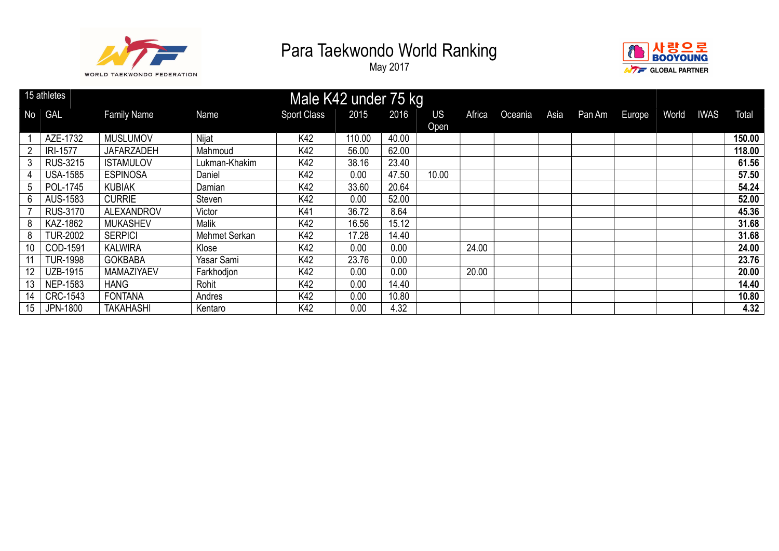



|                |                 |                    |               | 15 athletes<br>Male K42 under 75 kg |        |       |           |        |         |      |        |        |       |             |        |
|----------------|-----------------|--------------------|---------------|-------------------------------------|--------|-------|-----------|--------|---------|------|--------|--------|-------|-------------|--------|
| N <sub>o</sub> | GAL             | <b>Family Name</b> | Name          | <b>Sport Class</b>                  | 2015   | 2016  | <b>US</b> | Africa | Oceania | Asia | Pan Am | Europe | World | <b>IWAS</b> | Total  |
|                |                 |                    |               |                                     |        |       | Open      |        |         |      |        |        |       |             |        |
|                | AZE-1732        | <b>MUSLUMOV</b>    | Nijat         | K42                                 | 110.00 | 40.00 |           |        |         |      |        |        |       |             | 150.00 |
|                | IRI-1577        | <b>JAFARZADEH</b>  | Mahmoud       | K42                                 | 56.00  | 62.00 |           |        |         |      |        |        |       |             | 118.00 |
| 3              | <b>RUS-3215</b> | <b>ISTAMULOV</b>   | Lukman-Khakim | K42                                 | 38.16  | 23.40 |           |        |         |      |        |        |       |             | 61.56  |
|                | <b>USA-1585</b> | <b>ESPINOSA</b>    | Daniel        | K42                                 | 0.00   | 47.50 | 10.00     |        |         |      |        |        |       |             | 57.50  |
| 5              | POL-1745        | <b>KUBIAK</b>      | Damian        | K42                                 | 33.60  | 20.64 |           |        |         |      |        |        |       |             | 54.24  |
| 6              | AUS-1583        | <b>CURRIE</b>      | Steven        | K42                                 | 0.00   | 52.00 |           |        |         |      |        |        |       |             | 52.00  |
|                | <b>RUS-3170</b> | <b>ALEXANDROV</b>  | Victor        | K41                                 | 36.72  | 8.64  |           |        |         |      |        |        |       |             | 45.36  |
| 8              | KAZ-1862        | <b>MUKASHEV</b>    | <b>Malik</b>  | K42                                 | 16.56  | 15.12 |           |        |         |      |        |        |       |             | 31.68  |
| 8              | <b>TUR-2002</b> | <b>SERPICI</b>     | Mehmet Serkan | K42                                 | 17.28  | 14.40 |           |        |         |      |        |        |       |             | 31.68  |
| 10             | COD-1591        | <b>KALWIRA</b>     | Klose         | K42                                 | 0.00   | 0.00  |           | 24.00  |         |      |        |        |       |             | 24.00  |
|                | <b>TUR-1998</b> | <b>GOKBABA</b>     | Yasar Sami    | K42                                 | 23.76  | 0.00  |           |        |         |      |        |        |       |             | 23.76  |
| 12             | <b>UZB-1915</b> | <b>MAMAZIYAEV</b>  | Farkhodjon    | K42                                 | 0.00   | 0.00  |           | 20.00  |         |      |        |        |       |             | 20.00  |
| 13             | NEP-1583        | <b>HANG</b>        | Rohit         | K42                                 | 0.00   | 14.40 |           |        |         |      |        |        |       |             | 14.40  |
| 14             | CRC-1543        | <b>FONTANA</b>     | Andres        | K42                                 | 0.00   | 10.80 |           |        |         |      |        |        |       |             | 10.80  |
| 15             | JPN-1800        | <b>TAKAHASHI</b>   | Kentaro       | K42                                 | 0.00   | 4.32  |           |        |         |      |        |        |       |             | 4.32   |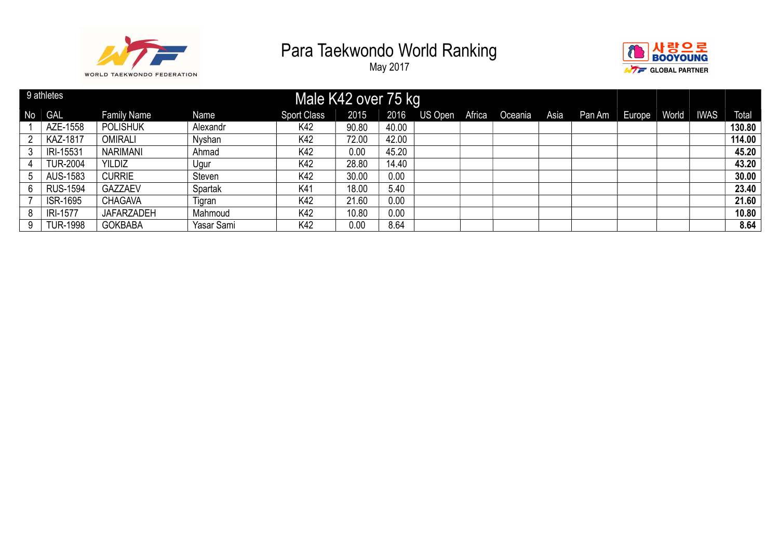



|                       | 9 athletes      |                    |            | Male K42 over 75 kg |       |       |         |        |         |      |        |        |       |             |        |
|-----------------------|-----------------|--------------------|------------|---------------------|-------|-------|---------|--------|---------|------|--------|--------|-------|-------------|--------|
| <b>No</b>             | GAL             | <b>Family Name</b> | Name       | <b>Sport Class</b>  | 2015  | 2016  | US Open | Africa | Oceania | Asia | Pan Am | Europe | World | <b>IWAS</b> | Total  |
|                       | AZE-1558        | <b>POLISHUK</b>    | Alexandr   | K42                 | 90.80 | 40.00 |         |        |         |      |        |        |       |             | 130.80 |
| $\mathbf{2}^{\prime}$ | <b>KAZ-1817</b> | OMIRALI            | Nyshan     | K42                 | 72.00 | 42.00 |         |        |         |      |        |        |       |             | 114.00 |
| 3                     | IRI-15531       | <b>NARIMANI</b>    | Ahmad      | K42                 | 0.00  | 45.20 |         |        |         |      |        |        |       |             | 45.20  |
|                       | <b>TUR-2004</b> | <b>YILDIZ</b>      | Ugur       | K42                 | 28.80 | 14.40 |         |        |         |      |        |        |       |             | 43.20  |
| 5                     | AUS-1583        | <b>CURRIE</b>      | Steven     | K42                 | 30.00 | 0.00  |         |        |         |      |        |        |       |             | 30.00  |
| 6                     | <b>RUS-1594</b> | <b>GAZZAEV</b>     | Spartak    | K41                 | 18.00 | 5.40  |         |        |         |      |        |        |       |             | 23.40  |
|                       | <b>ISR-1695</b> | CHAGAVA            | Tigran     | K42                 | 21.60 | 0.00  |         |        |         |      |        |        |       |             | 21.60  |
| 8                     | <b>IRI-1577</b> | <b>JAFARZADEH</b>  | Mahmoud    | K42                 | 10.80 | 0.00  |         |        |         |      |        |        |       |             | 10.80  |
| 9                     | <b>TUR-1998</b> | <b>GOKBABA</b>     | Yasar Sami | K42                 | 0.00  | 8.64  |         |        |         |      |        |        |       |             | 8.64   |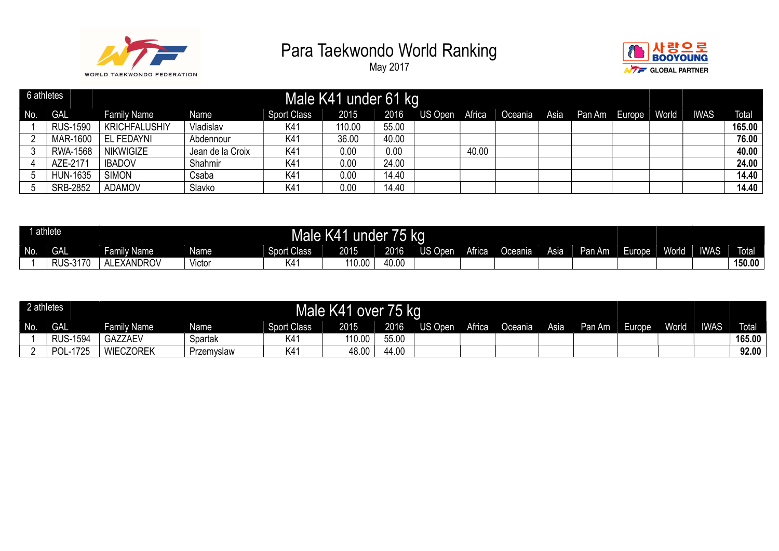



| 6 athletes |                 |                      |                  |                    | Male K41 under 61 kg |       |         |        |         |      |        |        |       |             |              |
|------------|-----------------|----------------------|------------------|--------------------|----------------------|-------|---------|--------|---------|------|--------|--------|-------|-------------|--------------|
| No.        | <b>GAL</b>      | <b>Family Name</b>   | Name             | <b>Sport Class</b> | 2015                 | 2016  | US Open | Africa | Oceania | Asia | Pan Am | Europe | World | <b>IWAS</b> | <b>Total</b> |
|            | <b>RUS-1590</b> | <b>KRICHFALUSHIY</b> | Vladislav        | K41                | 110.00               | 55.00 |         |        |         |      |        |        |       |             | 165.00       |
|            | MAR-1600        | EL FEDAYNI           | Abdennour        | K41                | 36.00                | 40.00 |         |        |         |      |        |        |       |             | 76.00        |
|            | RWA-1568        | <b>NIKWIGIZE</b>     | Jean de la Croix | K41                | 0.00                 | 0.00  |         | 40.00  |         |      |        |        |       |             | 40.00        |
|            | AZE-2171        | <b>IBADOV</b>        | Shahmir          | K41                | 0.00                 | 24.00 |         |        |         |      |        |        |       |             | 24.00        |
|            | <b>HUN-1635</b> | <b>SIMON</b>         | Csaba            | K41                | 0.00                 | 14.40 |         |        |         |      |        |        |       |             | 14.40        |
| 5          | <b>SRB-2852</b> | <b>ADAMOV</b>        | Slavko           | K41                | 0.00                 | 14.40 |         |        |         |      |        |        |       |             | 14.40        |

|     | athlete        |                        | 76<br>$15$ kg<br>under |                    |                    |       |                |        |         |      |        |         |       |             |              |
|-----|----------------|------------------------|------------------------|--------------------|--------------------|-------|----------------|--------|---------|------|--------|---------|-------|-------------|--------------|
| No. | <b>GAL</b>     | iily Name<br>-ami      | Name                   | <b>Sport Class</b> | 2015               | 2016  | US OI<br>Jpen. | Africa | Oceania | Asia | Pan Am | Europe. | World | <b>IWAS</b> | <b>Total</b> |
|     | 3170-<br>RUS-3 | <b>LEXANDROV</b><br>ΔΙ | Victo                  | K4                 | 110.0 <sub>u</sub> | 40.00 |                |        |         |      |        |         |       |             | 150.00       |

| 2 athletes |                 |                  |            |                    | Male K41 over 75 kg |       |         |        |         |      |        |        |       |             |        |
|------------|-----------------|------------------|------------|--------------------|---------------------|-------|---------|--------|---------|------|--------|--------|-------|-------------|--------|
| No.        | <b>GAL</b>      | Family Name      | Name       | <b>Sport Class</b> | 2015                | 2016  | US Open | Africa | Oceania | Asia | Pan Am | Europe | World | <b>IWAS</b> | Total  |
|            | <b>RUS-1594</b> | <b>GAZZAEV</b>   | Spartak    | K4ʻ                | 110.00              | 55.00 |         |        |         |      |        |        |       |             | 165.00 |
|            | 1725<br>POL-    | <b>WIECZOREK</b> | Przemyslaw | K41                | 48.00               | 44.00 |         |        |         |      |        |        |       |             | 92.00  |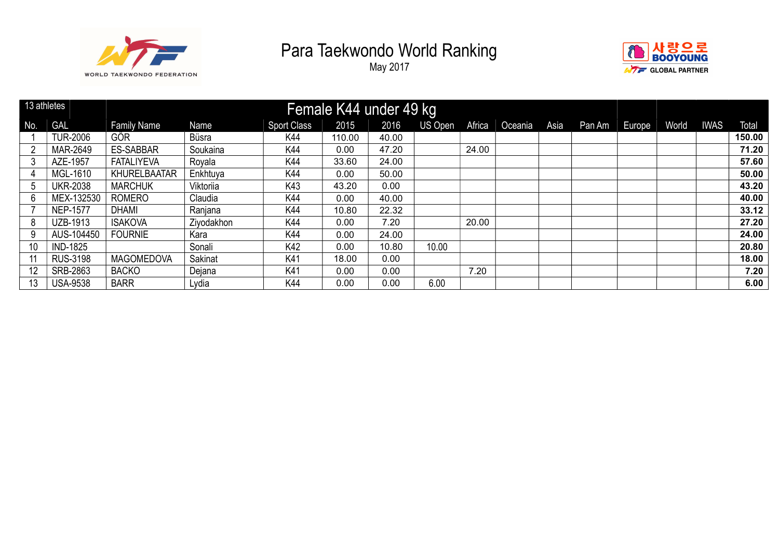



| 13 athletes |                 |                    |            |                    | Female K44 under 49 kg |       |         |        |         |      |        |        |       |             |        |
|-------------|-----------------|--------------------|------------|--------------------|------------------------|-------|---------|--------|---------|------|--------|--------|-------|-------------|--------|
| No.         | <b>GAL</b>      | <b>Family Name</b> | Name       | <b>Sport Class</b> | 2015                   | 2016  | US Open | Africa | Oceania | Asia | Pan Am | Europe | World | <b>IWAS</b> | Total  |
|             | <b>TUR-2006</b> | GÖR                | Büsra      | K44                | 110.00                 | 40.00 |         |        |         |      |        |        |       |             | 150.00 |
|             | MAR-2649        | <b>ES-SABBAR</b>   | Soukaina   | K44                | 0.00                   | 47.20 |         | 24.00  |         |      |        |        |       |             | 71.20  |
|             | AZE-1957        | <b>FATALIYEVA</b>  | Royala     | K44                | 33.60                  | 24.00 |         |        |         |      |        |        |       |             | 57.60  |
|             | MGL-1610        | KHURELBAATAR       | Enkhtuya   | K44                | 0.00                   | 50.00 |         |        |         |      |        |        |       |             | 50.00  |
| 5           | <b>UKR-2038</b> | <b>MARCHUK</b>     | Viktoriia  | K43                | 43.20                  | 0.00  |         |        |         |      |        |        |       |             | 43.20  |
| 6           | MEX-132530      | <b>ROMERO</b>      | Claudia    | K44                | 0.00                   | 40.00 |         |        |         |      |        |        |       |             | 40.00  |
|             | <b>NEP-1577</b> | <b>DHAMI</b>       | Ranjana    | K44                | 10.80                  | 22.32 |         |        |         |      |        |        |       |             | 33.12  |
| 8           | UZB-1913        | <b>ISAKOVA</b>     | Ziyodakhon | K44                | 0.00                   | 7.20  |         | 20.00  |         |      |        |        |       |             | 27.20  |
|             | AUS-104450      | <b>FOURNIE</b>     | Kara       | K44                | 0.00                   | 24.00 |         |        |         |      |        |        |       |             | 24.00  |
| 10          | <b>IND-1825</b> |                    | Sonali     | K42                | 0.00                   | 10.80 | 10.00   |        |         |      |        |        |       |             | 20.80  |
|             | <b>RUS-3198</b> | <b>MAGOMEDOVA</b>  | Sakinat    | K41                | 18.00                  | 0.00  |         |        |         |      |        |        |       |             | 18.00  |
|             | SRB-2863        | <b>BACKO</b>       | Dejana     | K41                | 0.00                   | 0.00  |         | 7.20   |         |      |        |        |       |             | 7.20   |
| 13          | <b>USA-9538</b> | <b>BARR</b>        | Lydia      | K44                | 0.00                   | 0.00  | 6.00    |        |         |      |        |        |       |             | 6.00   |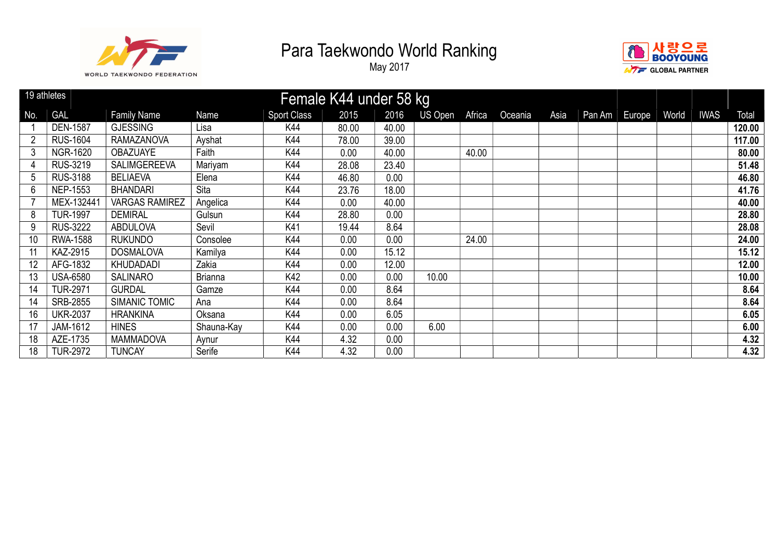



|     | 19 athletes     |                       |                |                    | Female K44 under 58 kg |       |         |        |         |      |        |        |       |             |        |
|-----|-----------------|-----------------------|----------------|--------------------|------------------------|-------|---------|--------|---------|------|--------|--------|-------|-------------|--------|
| No. | <b>GAL</b>      | <b>Family Name</b>    | Name           | <b>Sport Class</b> | 2015                   | 2016  | US Open | Africa | Oceania | Asia | Pan Am | Europe | World | <b>IWAS</b> | Total  |
|     | <b>DEN-1587</b> | <b>GJESSING</b>       | Lisa           | K44                | 80.00                  | 40.00 |         |        |         |      |        |        |       |             | 120.00 |
|     | <b>RUS-1604</b> | <b>RAMAZANOVA</b>     | Ayshat         | K44                | 78.00                  | 39.00 |         |        |         |      |        |        |       |             | 117.00 |
| 3   | <b>NGR-1620</b> | <b>OBAZUAYE</b>       | Faith          | K44                | 0.00                   | 40.00 |         | 40.00  |         |      |        |        |       |             | 80.00  |
| 4   | RUS-3219        | <b>SALIMGEREEVA</b>   | Mariyam        | K44                | 28.08                  | 23.40 |         |        |         |      |        |        |       |             | 51.48  |
| 5   | <b>RUS-3188</b> | <b>BELIAEVA</b>       | Elena          | K44                | 46.80                  | 0.00  |         |        |         |      |        |        |       |             | 46.80  |
| 6   | <b>NEP-1553</b> | <b>BHANDARI</b>       | Sita           | K44                | 23.76                  | 18.00 |         |        |         |      |        |        |       |             | 41.76  |
|     | MEX-132441      | <b>VARGAS RAMIREZ</b> | Angelica       | K44                | 0.00                   | 40.00 |         |        |         |      |        |        |       |             | 40.00  |
| 8   | <b>TUR-1997</b> | <b>DEMIRAL</b>        | Gulsun         | K44                | 28.80                  | 0.00  |         |        |         |      |        |        |       |             | 28.80  |
| 9   | <b>RUS-3222</b> | <b>ABDULOVA</b>       | Sevil          | K41                | 19.44                  | 8.64  |         |        |         |      |        |        |       |             | 28.08  |
| 10  | <b>RWA-1588</b> | <b>RUKUNDO</b>        | Consolee       | K44                | 0.00                   | 0.00  |         | 24.00  |         |      |        |        |       |             | 24.00  |
|     | KAZ-2915        | <b>DOSMALOVA</b>      | Kamilya        | K44                | 0.00                   | 15.12 |         |        |         |      |        |        |       |             | 15.12  |
| 12  | AFG-1832        | <b>KHUDADADI</b>      | Zakia          | K44                | 0.00                   | 12.00 |         |        |         |      |        |        |       |             | 12.00  |
| 13  | <b>USA-6580</b> | <b>SALINARO</b>       | <b>Brianna</b> | K42                | 0.00                   | 0.00  | 10.00   |        |         |      |        |        |       |             | 10.00  |
| 14  | <b>TUR-2971</b> | <b>GURDAL</b>         | Gamze          | K44                | 0.00                   | 8.64  |         |        |         |      |        |        |       |             | 8.64   |
| 14  | SRB-2855        | <b>SIMANIC TOMIC</b>  | Ana            | K44                | 0.00                   | 8.64  |         |        |         |      |        |        |       |             | 8.64   |
| 16  | <b>UKR-2037</b> | <b>HRANKINA</b>       | Oksana         | K44                | 0.00                   | 6.05  |         |        |         |      |        |        |       |             | 6.05   |
| 17  | JAM-1612        | <b>HINES</b>          | Shauna-Kay     | K44                | 0.00                   | 0.00  | 6.00    |        |         |      |        |        |       |             | 6.00   |
| 18  | AZE-1735        | <b>MAMMADOVA</b>      | Aynur          | K44                | 4.32                   | 0.00  |         |        |         |      |        |        |       |             | 4.32   |
| 18  | <b>TUR-2972</b> | <b>TUNCAY</b>         | Serife         | K44                | 4.32                   | 0.00  |         |        |         |      |        |        |       |             | 4.32   |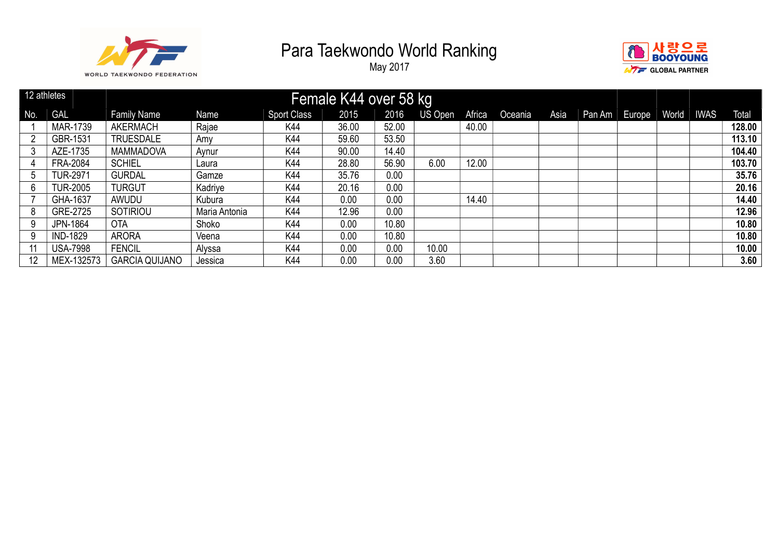



|     | 12 athletes     |                       |               |                    | Female K44 over 58 kg |       |         |        |         |      |        |        |       |             |              |
|-----|-----------------|-----------------------|---------------|--------------------|-----------------------|-------|---------|--------|---------|------|--------|--------|-------|-------------|--------------|
| No. | <b>GAL</b>      | <b>Family Name</b>    | Name          | <b>Sport Class</b> | 2015                  | 2016  | US Open | Africa | Oceania | Asia | Pan Am | Europe | World | <b>IWAS</b> | <b>Total</b> |
|     | MAR-1739        | <b>AKERMACH</b>       | Rajae         | K44                | 36.00                 | 52.00 |         | 40.00  |         |      |        |        |       |             | 128.00       |
| - 2 | GBR-1531        | <b>TRUESDALE</b>      | Amy           | K44                | 59.60                 | 53.50 |         |        |         |      |        |        |       |             | 113.10       |
|     | AZE-1735        | <b>MAMMADOVA</b>      | Aynur         | K44                | 90.00                 | 14.40 |         |        |         |      |        |        |       |             | 104.40       |
|     | <b>FRA-2084</b> | <b>SCHIEL</b>         | Laura         | K44                | 28.80                 | 56.90 | 6.00    | 12.00  |         |      |        |        |       |             | 103.70       |
| 5   | <b>TUR-2971</b> | <b>GURDAL</b>         | Gamze         | K44                | 35.76                 | 0.00  |         |        |         |      |        |        |       |             | 35.76        |
| 6   | TUR-2005        | <b>TURGUT</b>         | Kadriye       | K44                | 20.16                 | 0.00  |         |        |         |      |        |        |       |             | 20.16        |
|     | GHA-1637        | AWUDU                 | Kubura        | K44                | 0.00                  | 0.00  |         | 14.40  |         |      |        |        |       |             | 14.40        |
| 8   | GRE-2725        | <b>SOTIRIOU</b>       | Maria Antonia | K44                | 12.96                 | 0.00  |         |        |         |      |        |        |       |             | 12.96        |
| 9   | <b>JPN-1864</b> | <b>OTA</b>            | Shoko         | K44                | 0.00                  | 10.80 |         |        |         |      |        |        |       |             | 10.80        |
| 9   | <b>IND-1829</b> | <b>ARORA</b>          | Veena         | K44                | 0.00                  | 10.80 |         |        |         |      |        |        |       |             | 10.80        |
|     | <b>USA-7998</b> | <b>FENCIL</b>         | Alyssa        | K44                | 0.00                  | 0.00  | 10.00   |        |         |      |        |        |       |             | 10.00        |
| 12  | MEX-132573      | <b>GARCIA QUIJANO</b> | Jessica       | K44                | 0.00                  | 0.00  | 3.60    |        |         |      |        |        |       |             | 3.60         |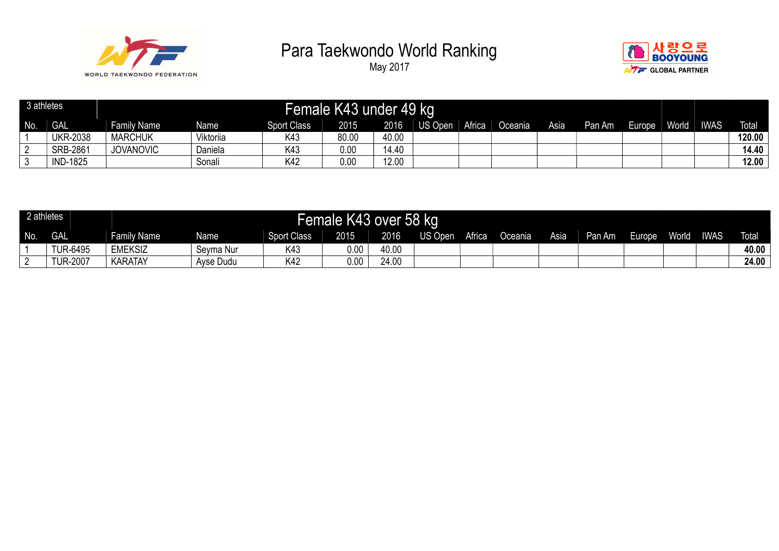



| 3 athletes |                 |                    |           |                    | Female K43 under 49 kg |       |                |        |         |      |        |        |       |             |              |
|------------|-----------------|--------------------|-----------|--------------------|------------------------|-------|----------------|--------|---------|------|--------|--------|-------|-------------|--------------|
| No.        | <b>GAL</b>      | <b>Family Name</b> | Name      | <b>Sport Class</b> | 2015                   | 2016  | <b>US Open</b> | Africa | Oceania | Asia | Pan Am | Europe | World | <b>IWAS</b> | <b>Total</b> |
|            | <b>UKR-2038</b> | <b>MARCHUK</b>     | Viktoriia | K43                | 80.00                  | 40.00 |                |        |         |      |        |        |       |             | 120.00       |
|            | SRB-2861        | <b>JOVANOVIC</b>   | Daniela   | K43                | 0.00                   | 14.40 |                |        |         |      |        |        |       |             | 14.40        |
|            | <b>IND-1825</b> |                    | Sonali    | K42                | 0.00                   | 12.00 |                |        |         |      |        |        |       |             | 12.00        |

| 2 athletes |                 |                    |           |                    | Female K43 over 58 kg |       |         |        |         |      |        |         |              |             |              |
|------------|-----------------|--------------------|-----------|--------------------|-----------------------|-------|---------|--------|---------|------|--------|---------|--------------|-------------|--------------|
| No.        | <b>GAL</b>      | <b>Family Name</b> | Name      | <b>Sport Class</b> | 2015                  | 2016  | US Open | Africa | Oceania | Asia | Pan Am | Europe. | <b>World</b> | <b>IWAS</b> | <b>Total</b> |
|            | <b>TUR-6495</b> | <b>EMEKSIZ</b>     | Seyma Nur | K43                | 0.00                  | 40.00 |         |        |         |      |        |         |              |             | 40.00        |
|            | <b>TUR-2007</b> | <b>KARATAY</b>     | Ayse Dudu | K42                | 0.00                  | 24.00 |         |        |         |      |        |         |              |             | 24.00        |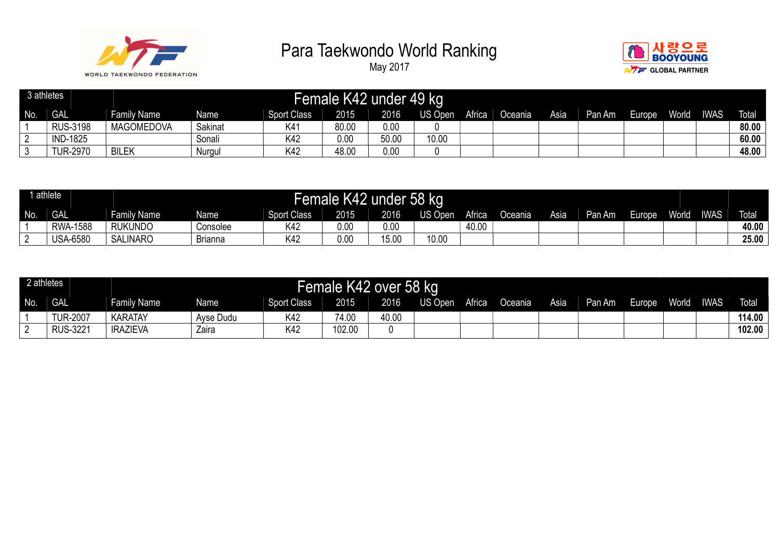



| 3 athletes |                 |                    |         |                    |       | Female K42 under 49 kg |                |        |         |      |        |        |       |             |              |
|------------|-----------------|--------------------|---------|--------------------|-------|------------------------|----------------|--------|---------|------|--------|--------|-------|-------------|--------------|
| No.        | <b>GAL</b>      | <b>Family Name</b> | Name    | <b>Sport Class</b> | 2015  | 2016                   | <b>US Open</b> | Africa | Oceania | Asia | Pan Am | Europe | World | <b>IWAS</b> | <b>Total</b> |
|            | <b>RUS-3198</b> | <b>MAGOMEDOVA</b>  | Sakinat | K41                | 80.00 | 0.00                   |                |        |         |      |        |        |       |             | 80.00        |
|            | <b>IND-1825</b> |                    | Sonali  | K42                | 0.00  | 50.00                  | 10.00          |        |         |      |        |        |       |             | 60.00        |
| . J        | <b>TUR-2970</b> | <b>BILEK</b>       | Nurgul  | K42                | 48.00 | 0.00                   |                |        |         |      |        |        |       |             | 48.00        |

|     | athlete         |                    |                |                    | <b>Female K42</b> | under 58 kg |         |        |                |      |        |       |       |             |              |
|-----|-----------------|--------------------|----------------|--------------------|-------------------|-------------|---------|--------|----------------|------|--------|-------|-------|-------------|--------------|
| No. | <b>GAL</b>      | <b>Family Name</b> | Name           | <b>Sport Class</b> | 2015              | 2016        | US Open | Africa | <b>Preania</b> | Asia | Pan Am | urope | World | <b>IWAS</b> | <b>Total</b> |
|     | <b>RWA-1588</b> | <b>RUKUNDO</b>     | Consolee       | K42                | 0.00              | 0.00        |         | 40.00  |                |      |        |       |       |             | 40.00        |
| ົ   | <b>USA-6580</b> | <b>SALINARO</b>    | <b>Brianna</b> | K42                | 0.00              | 15.00       | 10.00   |        |                |      |        |       |       |             | 25.00        |

| 2 athletes |                 |                 |           |                    | Female K42 over 58 kg |       |         |        |         |      |        |        |              |             |        |
|------------|-----------------|-----------------|-----------|--------------------|-----------------------|-------|---------|--------|---------|------|--------|--------|--------------|-------------|--------|
| No.        | <b>GAL</b>      | Family Name     | Name      | <b>Sport Class</b> | 2015                  | 2016  | US Open | Africa | Oceania | Asia | Pan Am | Europe | <b>World</b> | <b>IWAS</b> | Total  |
|            | <b>TUR-2007</b> | <b>KARATAY</b>  | Ayse Dudu | K42                | 74.00                 | 40.00 |         |        |         |      |        |        |              |             | 114.00 |
|            | <b>RUS-3221</b> | <b>IRAZIEVA</b> | Zaira     | K42                | 102.00                |       |         |        |         |      |        |        |              |             | 102.00 |